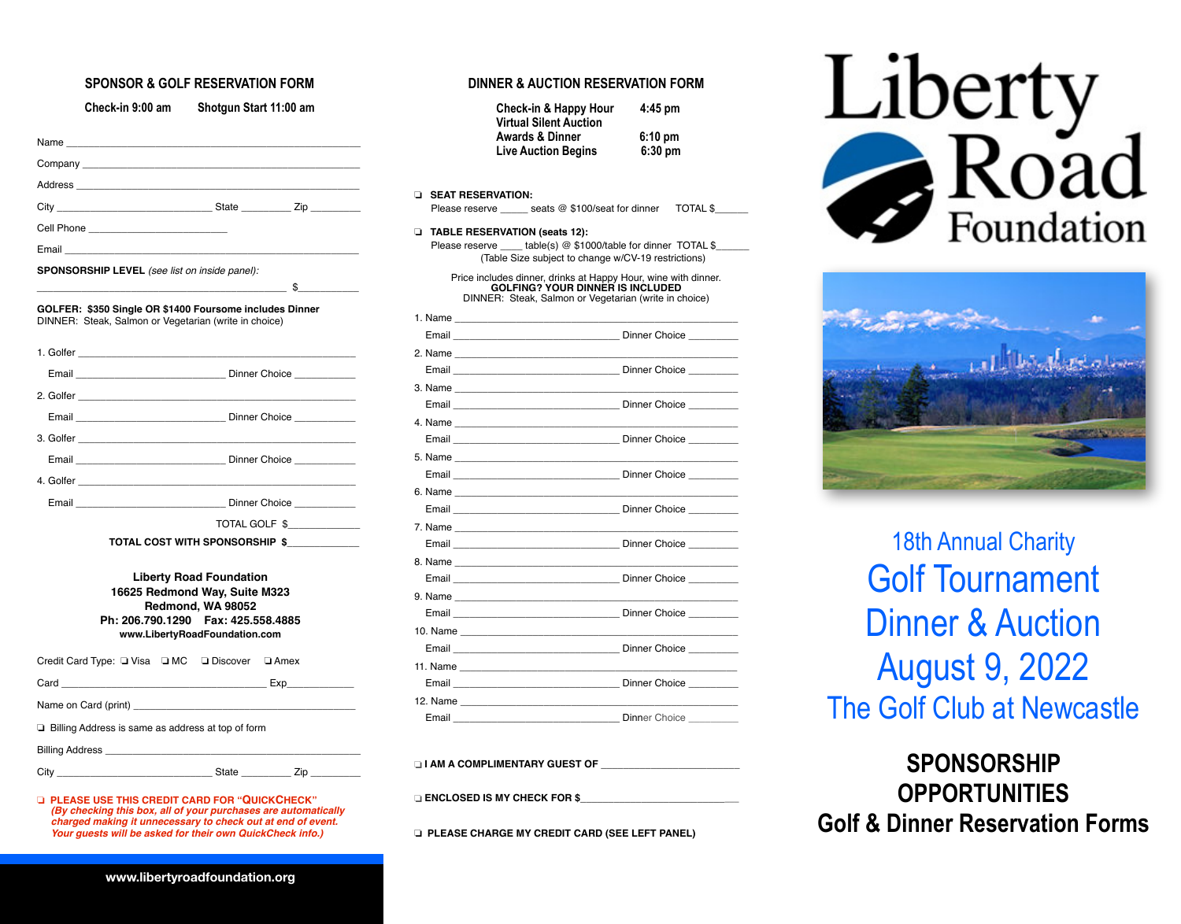### **SPONSOR & GOLF RESERVATION FORM**

|              | Check-in 9:00 am                                                                                                                                                                                                              | Shotgun Start 11:00 am                                                                                                |               |
|--------------|-------------------------------------------------------------------------------------------------------------------------------------------------------------------------------------------------------------------------------|-----------------------------------------------------------------------------------------------------------------------|---------------|
|              |                                                                                                                                                                                                                               |                                                                                                                       |               |
| Company $\_$ |                                                                                                                                                                                                                               |                                                                                                                       |               |
|              | Address and the contract of the contract of the contract of the contract of the contract of the contract of the                                                                                                               |                                                                                                                       |               |
|              |                                                                                                                                                                                                                               |                                                                                                                       |               |
|              | Cell Phone _____________________________                                                                                                                                                                                      |                                                                                                                       |               |
| Email        |                                                                                                                                                                                                                               |                                                                                                                       |               |
|              | SPONSORSHIP LEVEL (see list on inside panel):                                                                                                                                                                                 |                                                                                                                       |               |
|              |                                                                                                                                                                                                                               |                                                                                                                       | $\sim$ \$     |
|              | GOLFER: \$350 Single OR \$1400 Foursome includes Dinner<br>DINNER: Steak, Salmon or Vegetarian (write in choice)                                                                                                              |                                                                                                                       |               |
|              |                                                                                                                                                                                                                               |                                                                                                                       |               |
|              |                                                                                                                                                                                                                               |                                                                                                                       |               |
|              |                                                                                                                                                                                                                               |                                                                                                                       |               |
|              | Email <b>Example 2018</b> Dinner Choice                                                                                                                                                                                       |                                                                                                                       |               |
|              |                                                                                                                                                                                                                               |                                                                                                                       |               |
|              | Email <b>Email Email Email Email Email Email Email Email Email Email Email Email Email Email Email Email Email Email Email Email Email Email Email Email Email Email Email</b>                                                |                                                                                                                       |               |
|              | 4. Golfer and the contract of the contract of the contract of the contract of the contract of the contract of the contract of the contract of the contract of the contract of the contract of the contract of the contract of |                                                                                                                       |               |
|              | Email Dinner Choice                                                                                                                                                                                                           |                                                                                                                       |               |
|              |                                                                                                                                                                                                                               |                                                                                                                       | TOTAL GOLF \$ |
|              |                                                                                                                                                                                                                               | TOTAL COST WITH SPONSORSHIP \$                                                                                        |               |
|              | Ph: 206.790.1290    Fax: 425.558.4885                                                                                                                                                                                         | <b>Liberty Road Foundation</b><br>16625 Redmond Way, Suite M323<br>Redmond, WA 98052<br>www.LibertyRoadFoundation.com |               |
|              | Credit Card Type: Q Visa Q MC Q Discover Q Amex                                                                                                                                                                               |                                                                                                                       |               |
|              |                                                                                                                                                                                                                               |                                                                                                                       |               |
|              |                                                                                                                                                                                                                               |                                                                                                                       |               |
|              | $\Box$ Billing Address is same as address at top of form                                                                                                                                                                      |                                                                                                                       |               |
|              |                                                                                                                                                                                                                               |                                                                                                                       |               |
|              |                                                                                                                                                                                                                               |                                                                                                                       |               |
|              | D PLEASE USE THIS CREDIT CARD FOR "QUICKCHECK"<br>(By checking this box, all of your purchases are automatically<br>charged making it unnecessary to check out at end of event.                                               |                                                                                                                       |               |

#### **DINNER & AUCTION RESERVATION FORM**

| Check-in & Happy Hour         | $4:45$ pm         |
|-------------------------------|-------------------|
| <b>Virtual Silent Auction</b> |                   |
| <b>Awards &amp; Dinner</b>    | $6:10 \text{ pm}$ |
| <b>Live Auction Begins</b>    | $6:30$ pm         |

#### ❏ **SEAT RESERVATION:**

Please reserve seats @ \$100/seat for dinner TOTAL \$

#### ❏ **TABLE RESERVATION (seats 12):**

Please reserve \_\_\_\_\_ table(s) @ \$1000/table for dinner TOTAL \$ (Table Size subject to change w/CV-19 restrictions)

Price includes dinner, drinks at Happy Hour, wine with dinner. **GOLFING? YOUR DINNER IS INCLUDED** DINNER: Steak, Salmon or Vegetarian (write in choice)

| Email Communication of Dinner Choice Changes and Dinner Choice                                                                                                                                                                      |
|-------------------------------------------------------------------------------------------------------------------------------------------------------------------------------------------------------------------------------------|
|                                                                                                                                                                                                                                     |
|                                                                                                                                                                                                                                     |
|                                                                                                                                                                                                                                     |
| Email <u>Communications</u> Dinner Choice Changes and Dinner Choice Choice Changes and Dinner Choice Choice Choice Choice                                                                                                           |
|                                                                                                                                                                                                                                     |
| Email <u>Communications</u> Dinner Choice Changes and Dinner Choice Choice Changes and Dinner Choice Choice Choice Choice                                                                                                           |
|                                                                                                                                                                                                                                     |
|                                                                                                                                                                                                                                     |
|                                                                                                                                                                                                                                     |
|                                                                                                                                                                                                                                     |
|                                                                                                                                                                                                                                     |
| Email <u>Communications</u> Dinner Choice Changes and Dinner Choice Choice Changes and Dinner Choice Choice Changes and Dinner Choice Changes and Dinner Choice Changes and Dinner Choice Changes and Dinner Choice Changes and Din |
|                                                                                                                                                                                                                                     |
| Email <u>Communications</u> Dinner Choice Changes and Dinner Choice Choice Changes and Dinner Choice Choice Changes and Dinner Choice Changes and Dinner Choice Changes and Dinner Choice Changes and Dinner Choice Changes and Din |
|                                                                                                                                                                                                                                     |
| Email <u>Communications</u> Dinner Choice Changes and Dinner Choice Choice Changes and Dinner Choice Choice Choice Choice                                                                                                           |
|                                                                                                                                                                                                                                     |
|                                                                                                                                                                                                                                     |
|                                                                                                                                                                                                                                     |
| Dinner Choice _______                                                                                                                                                                                                               |

 $\Box$  I AM A COMPLIMENTARY GUEST OF

❏ **ENCLOSED IS MY CHECK FOR \$\_\_\_\_\_\_\_\_\_\_\_\_\_\_\_\_\_\_\_\_\_\_\_\_\_\_\_\_\_**

❏ **PLEASE CHARGE MY CREDIT CARD (SEE LEFT PANEL)**





18th Annual Charity Golf Tournament Dinner & Auction August 9, 2022 The Golf Club at Newcastle

**SPONSORSHIP OPPORTUNITIES Golf & Dinner Reservation Forms**

 *Your guests will be asked for their own QuickCheck info.)*